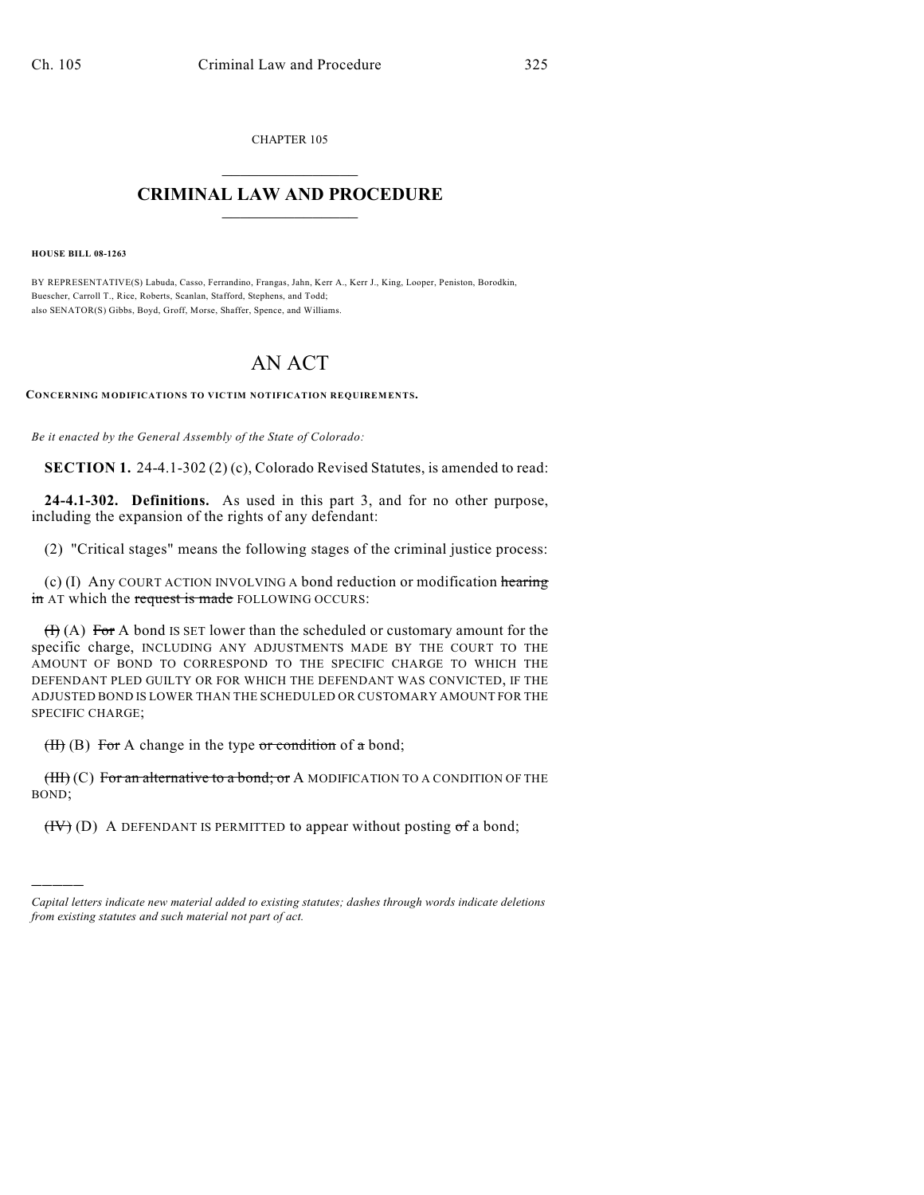CHAPTER 105

## $\mathcal{L}_\text{max}$  . The set of the set of the set of the set of the set of the set of the set of the set of the set of the set of the set of the set of the set of the set of the set of the set of the set of the set of the set **CRIMINAL LAW AND PROCEDURE**  $\frac{1}{2}$  ,  $\frac{1}{2}$  ,  $\frac{1}{2}$  ,  $\frac{1}{2}$  ,  $\frac{1}{2}$  ,  $\frac{1}{2}$  ,  $\frac{1}{2}$

**HOUSE BILL 08-1263**

)))))

BY REPRESENTATIVE(S) Labuda, Casso, Ferrandino, Frangas, Jahn, Kerr A., Kerr J., King, Looper, Peniston, Borodkin, Buescher, Carroll T., Rice, Roberts, Scanlan, Stafford, Stephens, and Todd; also SENATOR(S) Gibbs, Boyd, Groff, Morse, Shaffer, Spence, and Williams.

## AN ACT

**CONCERNING MODIFICATIONS TO VICTIM NOTIFICATION REQUIREMENTS.**

*Be it enacted by the General Assembly of the State of Colorado:*

**SECTION 1.** 24-4.1-302 (2) (c), Colorado Revised Statutes, is amended to read:

**24-4.1-302. Definitions.** As used in this part 3, and for no other purpose, including the expansion of the rights of any defendant:

(2) "Critical stages" means the following stages of the criminal justice process:

(c) (I) Any COURT ACTION INVOLVING A bond reduction or modification hearing in AT which the request is made FOLLOWING OCCURS:

 $(H)$  (A) For A bond IS SET lower than the scheduled or customary amount for the specific charge, INCLUDING ANY ADJUSTMENTS MADE BY THE COURT TO THE AMOUNT OF BOND TO CORRESPOND TO THE SPECIFIC CHARGE TO WHICH THE DEFENDANT PLED GUILTY OR FOR WHICH THE DEFENDANT WAS CONVICTED, IF THE ADJUSTED BOND IS LOWER THAN THE SCHEDULED OR CUSTOMARY AMOUNT FOR THE SPECIFIC CHARGE;

 $(H)$  (B) For A change in the type or condition of a bond;

 $(HH)(C)$  For an alternative to a bond; or A MODIFICATION TO A CONDITION OF THE BOND;

 $(HV)$  (D) A DEFENDANT IS PERMITTED to appear without posting  $\sigma f$  a bond;

*Capital letters indicate new material added to existing statutes; dashes through words indicate deletions from existing statutes and such material not part of act.*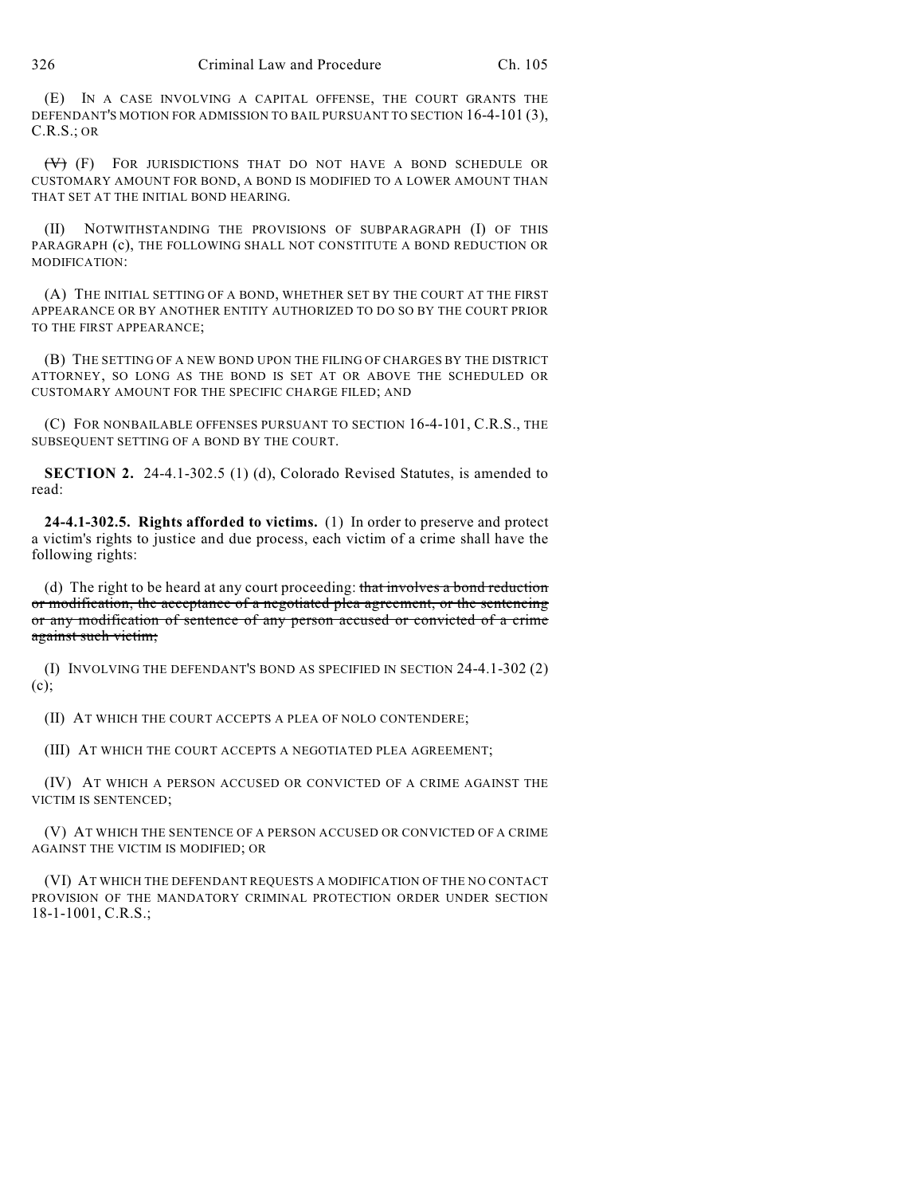(E) IN A CASE INVOLVING A CAPITAL OFFENSE, THE COURT GRANTS THE DEFENDANT'S MOTION FOR ADMISSION TO BAIL PURSUANT TO SECTION 16-4-101 (3), C.R.S.; OR

(V) (F) FOR JURISDICTIONS THAT DO NOT HAVE A BOND SCHEDULE OR CUSTOMARY AMOUNT FOR BOND, A BOND IS MODIFIED TO A LOWER AMOUNT THAN THAT SET AT THE INITIAL BOND HEARING.

(II) NOTWITHSTANDING THE PROVISIONS OF SUBPARAGRAPH (I) OF THIS PARAGRAPH (c), THE FOLLOWING SHALL NOT CONSTITUTE A BOND REDUCTION OR MODIFICATION:

(A) THE INITIAL SETTING OF A BOND, WHETHER SET BY THE COURT AT THE FIRST APPEARANCE OR BY ANOTHER ENTITY AUTHORIZED TO DO SO BY THE COURT PRIOR TO THE FIRST APPEARANCE;

(B) THE SETTING OF A NEW BOND UPON THE FILING OF CHARGES BY THE DISTRICT ATTORNEY, SO LONG AS THE BOND IS SET AT OR ABOVE THE SCHEDULED OR CUSTOMARY AMOUNT FOR THE SPECIFIC CHARGE FILED; AND

(C) FOR NONBAILABLE OFFENSES PURSUANT TO SECTION 16-4-101, C.R.S., THE SUBSEQUENT SETTING OF A BOND BY THE COURT.

**SECTION 2.** 24-4.1-302.5 (1) (d), Colorado Revised Statutes, is amended to read:

**24-4.1-302.5. Rights afforded to victims.** (1) In order to preserve and protect a victim's rights to justice and due process, each victim of a crime shall have the following rights:

(d) The right to be heard at any court proceeding: that involves a bond reduction or modification, the acceptance of a negotiated plea agreement, or the sentencing or any modification of sentence of any person accused or convicted of a crime against such victim;

(I) INVOLVING THE DEFENDANT'S BOND AS SPECIFIED IN SECTION 24-4.1-302 (2) (c);

(II) AT WHICH THE COURT ACCEPTS A PLEA OF NOLO CONTENDERE;

(III) AT WHICH THE COURT ACCEPTS A NEGOTIATED PLEA AGREEMENT;

(IV) AT WHICH A PERSON ACCUSED OR CONVICTED OF A CRIME AGAINST THE VICTIM IS SENTENCED;

(V) AT WHICH THE SENTENCE OF A PERSON ACCUSED OR CONVICTED OF A CRIME AGAINST THE VICTIM IS MODIFIED; OR

(VI) AT WHICH THE DEFENDANT REQUESTS A MODIFICATION OF THE NO CONTACT PROVISION OF THE MANDATORY CRIMINAL PROTECTION ORDER UNDER SECTION 18-1-1001, C.R.S.;